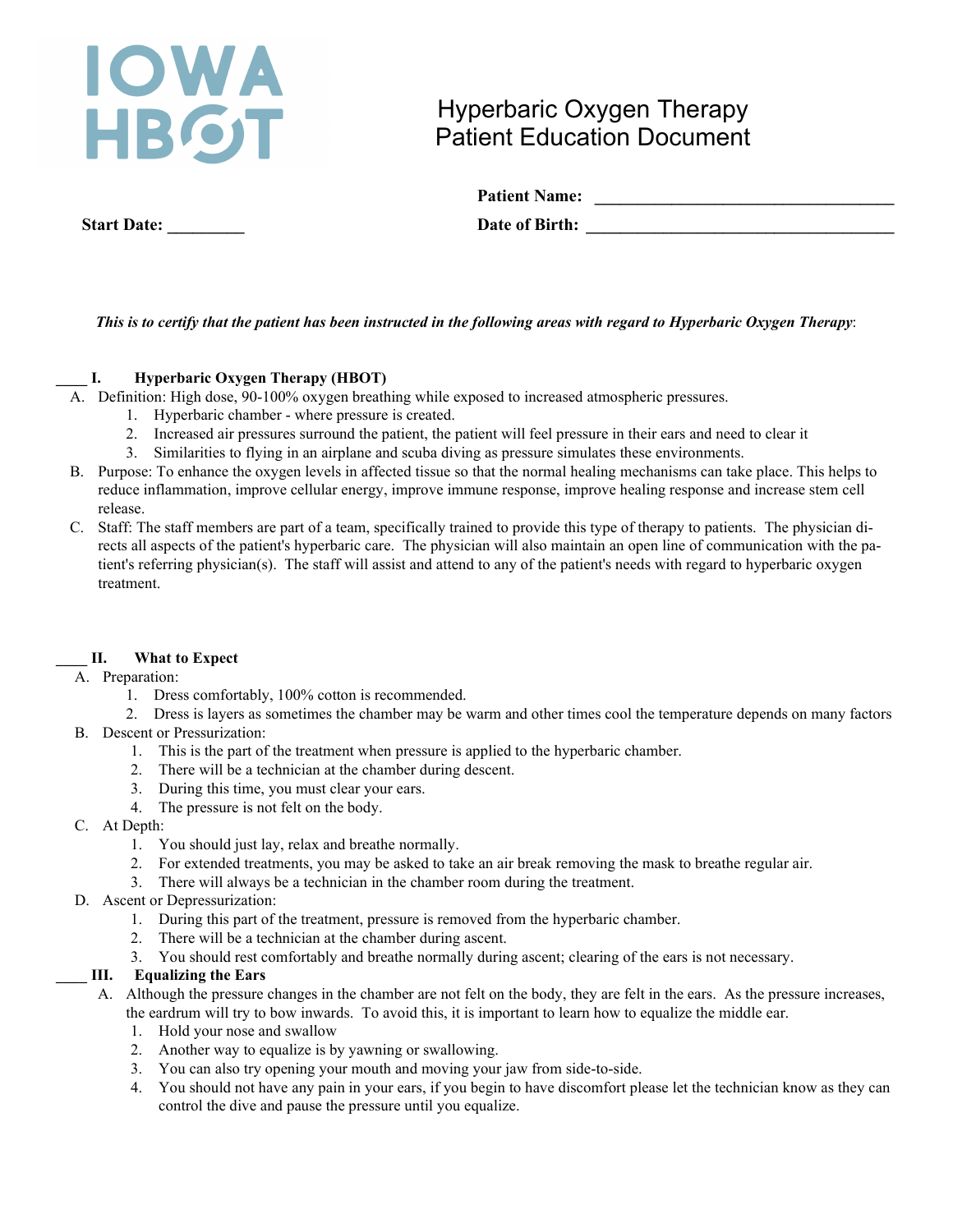# **WA** HBGT

## Hyperbaric Oxygen Therapy Patient Education Document

| <b>Patient Name:</b> |  |
|----------------------|--|
| Date of Birth:       |  |

 **Start Date: \_\_\_\_\_\_\_\_\_ Date of Birth: \_\_\_\_\_\_\_\_\_\_\_\_\_\_\_\_\_\_\_\_\_\_\_\_\_\_\_\_\_\_\_\_\_\_\_\_** 

## *This is to certify that the patient has been instructed in the following areas with regard to Hyperbaric Oxygen Therapy*:

## **\_\_\_\_ I. Hyperbaric Oxygen Therapy (HBOT)**

A. Definition: High dose, 90-100% oxygen breathing while exposed to increased atmospheric pressures.

- 1. Hyperbaric chamber where pressure is created.
- 2. Increased air pressures surround the patient, the patient will feel pressure in their ears and need to clear it
- 3. Similarities to flying in an airplane and scuba diving as pressure simulates these environments.
- B. Purpose: To enhance the oxygen levels in affected tissue so that the normal healing mechanisms can take place. This helps to reduce inflammation, improve cellular energy, improve immune response, improve healing response and increase stem cell release.
- C. Staff: The staff members are part of a team, specifically trained to provide this type of therapy to patients. The physician directs all aspects of the patient's hyperbaric care. The physician will also maintain an open line of communication with the patient's referring physician(s). The staff will assist and attend to any of the patient's needs with regard to hyperbaric oxygen treatment.

## **\_\_\_\_ II. What to Expect**

## A. Preparation:

1. Dress comfortably, 100% cotton is recommended.

2. Dress is layers as sometimes the chamber may be warm and other times cool the temperature depends on many factors

- B. Descent or Pressurization:
	- 1. This is the part of the treatment when pressure is applied to the hyperbaric chamber.
	- 2. There will be a technician at the chamber during descent.
	- 3. During this time, you must clear your ears.
	- 4. The pressure is not felt on the body.
- C. At Depth:
	- 1. You should just lay, relax and breathe normally.
	- 2. For extended treatments, you may be asked to take an air break removing the mask to breathe regular air.
	- 3. There will always be a technician in the chamber room during the treatment.
- D. Ascent or Depressurization:
	- 1. During this part of the treatment, pressure is removed from the hyperbaric chamber.
	- 2. There will be a technician at the chamber during ascent.
	- 3. You should rest comfortably and breathe normally during ascent; clearing of the ears is not necessary.

## **\_\_\_\_ III. Equalizing the Ears**

A. Although the pressure changes in the chamber are not felt on the body, they are felt in the ears. As the pressure increases, the eardrum will try to bow inwards.To avoid this, it is important to learn how to equalize the middle ear.

- 1. Hold your nose and swallow
- 2. Another way to equalize is by yawning or swallowing.
- 3. You can also try opening your mouth and moving your jaw from side-to-side.
- 4. You should not have any pain in your ears, if you begin to have discomfort please let the technician know as they can control the dive and pause the pressure until you equalize.